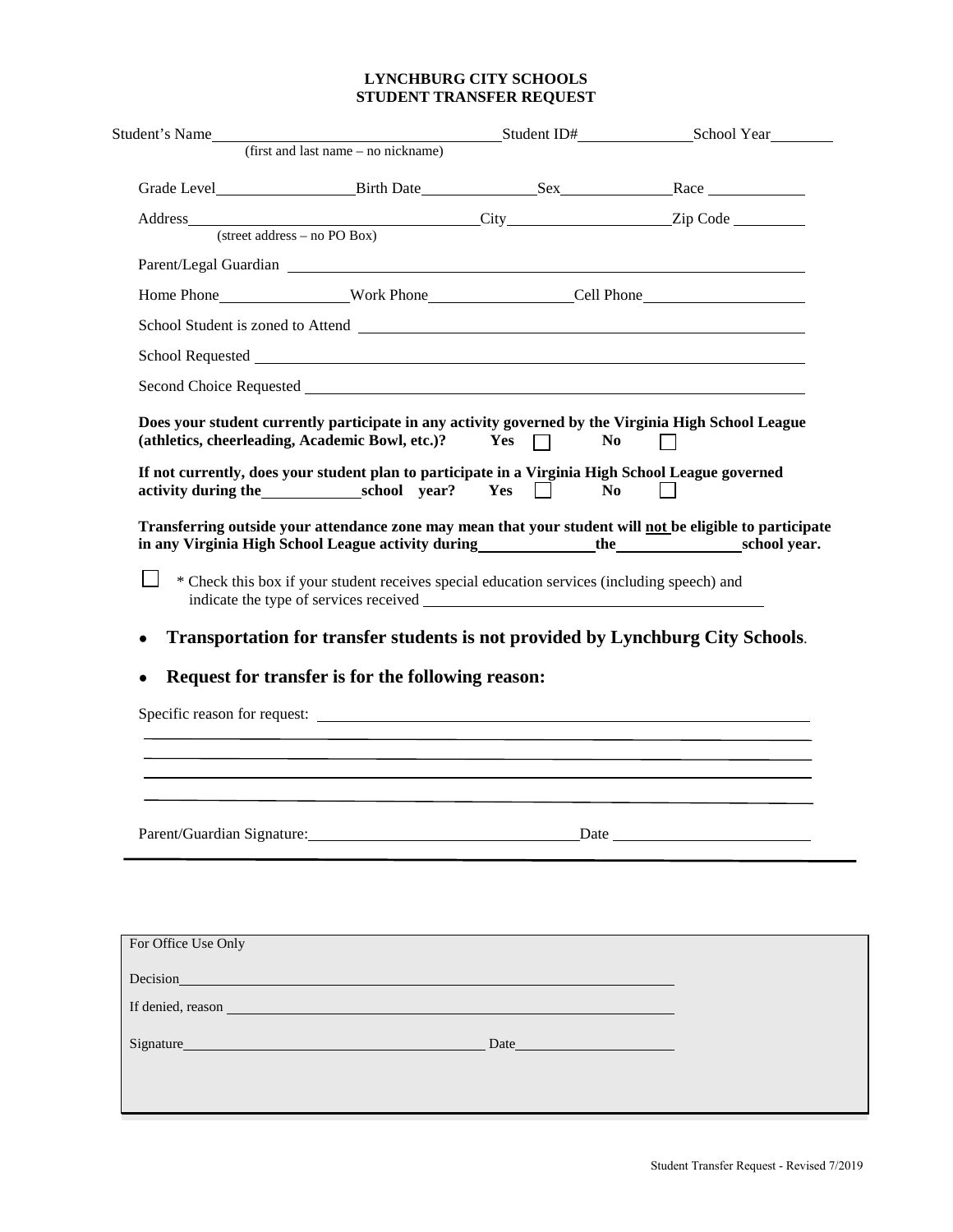## **LYNCHBURG CITY SCHOOLS STUDENT TRANSFER REQUEST**

| Student's Name      | Student ID# School Year                                                                                                                                                                                                       |                                  |                                                                                                          |
|---------------------|-------------------------------------------------------------------------------------------------------------------------------------------------------------------------------------------------------------------------------|----------------------------------|----------------------------------------------------------------------------------------------------------|
|                     | (first and last name – no nickname)                                                                                                                                                                                           |                                  |                                                                                                          |
|                     |                                                                                                                                                                                                                               |                                  | Grade Level Birth Date Sex Race                                                                          |
|                     |                                                                                                                                                                                                                               |                                  |                                                                                                          |
|                     |                                                                                                                                                                                                                               |                                  |                                                                                                          |
|                     |                                                                                                                                                                                                                               |                                  |                                                                                                          |
|                     |                                                                                                                                                                                                                               |                                  |                                                                                                          |
|                     |                                                                                                                                                                                                                               |                                  |                                                                                                          |
|                     |                                                                                                                                                                                                                               |                                  |                                                                                                          |
|                     |                                                                                                                                                                                                                               |                                  |                                                                                                          |
|                     | (athletics, cheerleading, Academic Bowl, etc.)? $Yes \Box$<br>If not currently, does your student plan to participate in a Virginia High School League governed<br>activity during the school year? Yes                       | N <sub>0</sub><br>N <sub>o</sub> | Does your student currently participate in any activity governed by the Virginia High School League      |
|                     |                                                                                                                                                                                                                               |                                  |                                                                                                          |
|                     |                                                                                                                                                                                                                               |                                  | Transferring outside your attendance zone may mean that your student will not be eligible to participate |
|                     | * Check this box if your student receives special education services (including speech) and                                                                                                                                   |                                  |                                                                                                          |
| $\bullet$           | Request for transfer is for the following reason:                                                                                                                                                                             |                                  | Transportation for transfer students is not provided by Lynchburg City Schools.                          |
|                     |                                                                                                                                                                                                                               |                                  |                                                                                                          |
|                     |                                                                                                                                                                                                                               |                                  |                                                                                                          |
|                     |                                                                                                                                                                                                                               |                                  |                                                                                                          |
|                     |                                                                                                                                                                                                                               |                                  |                                                                                                          |
|                     |                                                                                                                                                                                                                               |                                  |                                                                                                          |
|                     |                                                                                                                                                                                                                               |                                  |                                                                                                          |
|                     |                                                                                                                                                                                                                               |                                  |                                                                                                          |
|                     |                                                                                                                                                                                                                               |                                  |                                                                                                          |
| For Office Use Only |                                                                                                                                                                                                                               |                                  |                                                                                                          |
|                     | Decision <b>Decision</b>                                                                                                                                                                                                      |                                  |                                                                                                          |
|                     | If denied, reason his and the contract of the contract of the contract of the contract of the contract of the contract of the contract of the contract of the contract of the contract of the contract of the contract of the |                                  |                                                                                                          |